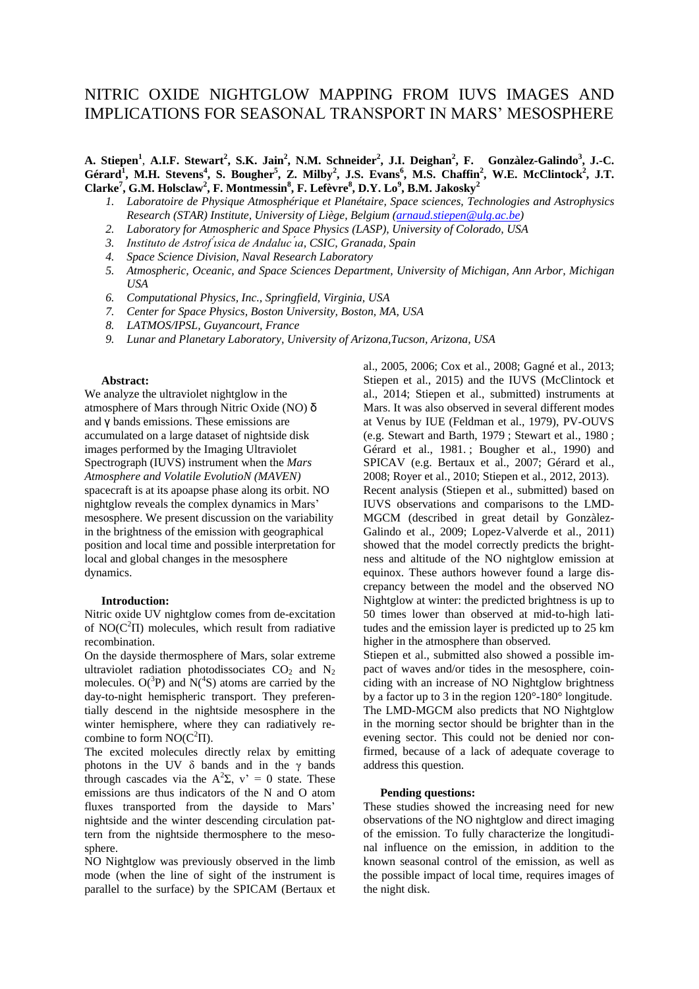# NITRIC OXIDE NIGHTGLOW MAPPING FROM IUVS IMAGES AND IMPLICATIONS FOR SEASONAL TRANSPORT IN MARS' MESOSPHERE

**A. Stiepen<sup>1</sup>** , **A.I.F. Stewart<sup>2</sup> , S.K. Jain<sup>2</sup> , N.M. Schneider<sup>2</sup> , J.I. Deighan<sup>2</sup> , F. Gonzàlez-Galindo<sup>3</sup> , J.-C.**  Gérard<sup>1</sup>, M.H. Stevens<sup>4</sup>, S. Bougher<sup>5</sup>, Z. Milby<sup>2</sup>, J.S. Evans<sup>6</sup>, M.S. Chaffin<sup>2</sup>, W.E. McClintock<sup>2</sup>, J.T. **Clarke<sup>7</sup> , G.M. Holsclaw<sup>2</sup> , F. Montmessin<sup>8</sup> , F. Lefèvre<sup>8</sup> , D.Y. Lo<sup>9</sup> , B.M. Jakosky<sup>2</sup>**

- *1. Laboratoire de Physique Atmosphérique et Planétaire, Space sciences, Technologies and Astrophysics Research (STAR) Institute, University of Liège, Belgium [\(arnaud.stiepen@ulg.ac.be\)](mailto:arnaud.stiepen@ulg.ac.be)*
- *2. Laboratory for Atmospheric and Space Physics (LASP), University of Colorado, USA*
- 3. Instituto de Astrof isica de Andaluc<sup>'</sup>ia, CSIC, Granada, Spain
- *4. Space Science Division, Naval Research Laboratory*
- *5. Atmospheric, Oceanic, and Space Sciences Department, University of Michigan, Ann Arbor, Michigan USA*
- *6. Computational Physics, Inc., Springfield, Virginia, USA*
- *7. Center for Space Physics, Boston University, Boston, MA, USA*
- *8. LATMOS/IPSL, Guyancourt, France*
- *9. Lunar and Planetary Laboratory, University of Arizona,Tucson, Arizona, USA*

## **Abstract:**

We analyze the ultraviolet nightglow in the atmosphere of Mars through Nitric Oxide (NO) δ and γ bands emissions. These emissions are accumulated on a large dataset of nightside disk images performed by the Imaging Ultraviolet Spectrograph (IUVS) instrument when the *Mars Atmosphere and Volatile EvolutioN (MAVEN)*  spacecraft is at its apoapse phase along its orbit. NO nightglow reveals the complex dynamics in Mars' mesosphere. We present discussion on the variability in the brightness of the emission with geographical position and local time and possible interpretation for local and global changes in the mesosphere dynamics.

#### **Introduction:**

Nitric oxide UV nightglow comes from de-excitation of  $NO(C<sup>2</sup>II)$  molecules, which result from radiative recombination.

On the dayside thermosphere of Mars, solar extreme ultraviolet radiation photodissociates  $CO<sub>2</sub>$  and N<sub>2</sub> molecules.  $O(^3P)$  and  $N(^4S)$  atoms are carried by the day-to-night hemispheric transport. They preferentially descend in the nightside mesosphere in the winter hemisphere, where they can radiatively recombine to form  $NO(C^2\Pi)$ .

The excited molecules directly relax by emitting photons in the UV  $\delta$  bands and in the  $\gamma$  bands through cascades via the  $A^2\Sigma$ ,  $v' = 0$  state. These emissions are thus indicators of the N and O atom fluxes transported from the dayside to Mars' nightside and the winter descending circulation pattern from the nightside thermosphere to the mesosphere.

NO Nightglow was previously observed in the limb mode (when the line of sight of the instrument is parallel to the surface) by the SPICAM (Bertaux et

al., 2005, 2006; Cox et al., 2008; Gagné et al., 2013; Stiepen et al., 2015) and the IUVS (McClintock et al., 2014; Stiepen et al., submitted) instruments at Mars. It was also observed in several different modes at Venus by IUE (Feldman et al., 1979), PV-OUVS (e.g. Stewart and Barth, 1979 ; Stewart et al., 1980 ; Gérard et al., 1981. ; Bougher et al., 1990) and SPICAV (e.g. Bertaux et al., 2007; Gérard et al., 2008; Royer et al., 2010; Stiepen et al., 2012, 2013). Recent analysis (Stiepen et al., submitted) based on IUVS observations and comparisons to the LMD-MGCM (described in great detail by Gonzàlez-Galindo et al., 2009; Lopez-Valverde et al., 2011) showed that the model correctly predicts the brightness and altitude of the NO nightglow emission at equinox. These authors however found a large discrepancy between the model and the observed NO Nightglow at winter: the predicted brightness is up to 50 times lower than observed at mid-to-high latitudes and the emission layer is predicted up to 25 km higher in the atmosphere than observed.

Stiepen et al., submitted also showed a possible impact of waves and/or tides in the mesosphere, coinciding with an increase of NO Nightglow brightness by a factor up to 3 in the region 120°-180° longitude. The LMD-MGCM also predicts that NO Nightglow in the morning sector should be brighter than in the evening sector. This could not be denied nor confirmed, because of a lack of adequate coverage to address this question.

#### **Pending questions:**

These studies showed the increasing need for new observations of the NO nightglow and direct imaging of the emission. To fully characterize the longitudinal influence on the emission, in addition to the known seasonal control of the emission, as well as the possible impact of local time, requires images of the night disk.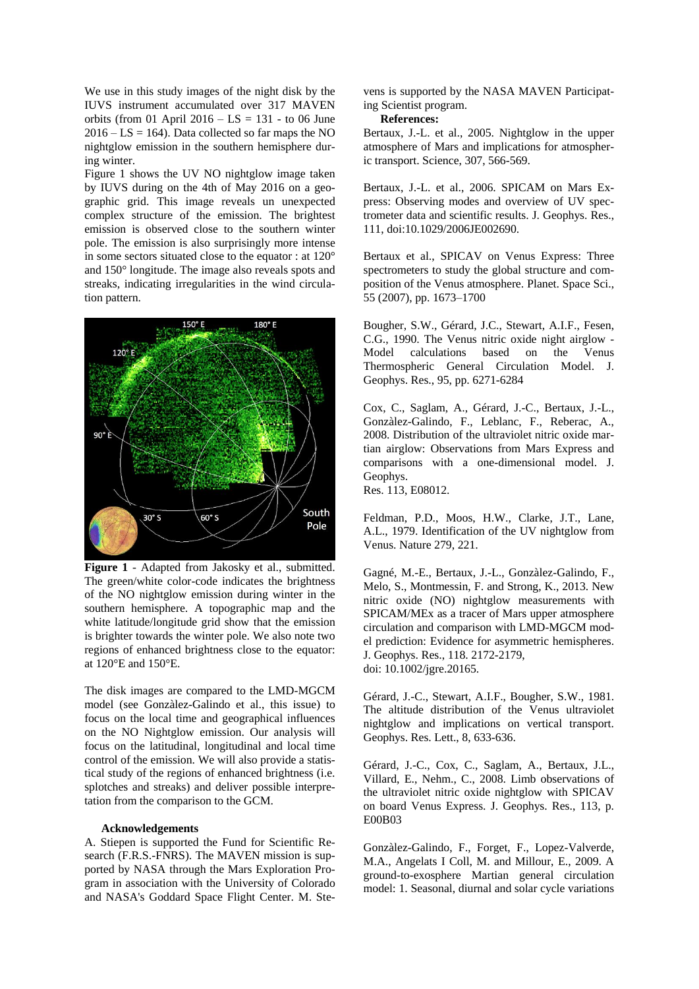We use in this study images of the night disk by the IUVS instrument accumulated over 317 MAVEN orbits (from 01 April  $2016 - LS = 131 -$  to 06 June  $2016 - LS = 164$ ). Data collected so far maps the NO nightglow emission in the southern hemisphere during winter.

Figure 1 shows the UV NO nightglow image taken by IUVS during on the 4th of May 2016 on a geographic grid. This image reveals un unexpected complex structure of the emission. The brightest emission is observed close to the southern winter pole. The emission is also surprisingly more intense in some sectors situated close to the equator : at 120° and 150° longitude. The image also reveals spots and streaks, indicating irregularities in the wind circulation pattern.



**Figure 1** - Adapted from Jakosky et al., submitted. The green/white color-code indicates the brightness of the NO nightglow emission during winter in the southern hemisphere. A topographic map and the white latitude/longitude grid show that the emission is brighter towards the winter pole. We also note two regions of enhanced brightness close to the equator: at 120°E and 150°E.

The disk images are compared to the LMD-MGCM model (see Gonzàlez-Galindo et al., this issue) to focus on the local time and geographical influences on the NO Nightglow emission. Our analysis will focus on the latitudinal, longitudinal and local time control of the emission. We will also provide a statistical study of the regions of enhanced brightness (i.e. splotches and streaks) and deliver possible interpretation from the comparison to the GCM.

### **Acknowledgements**

A. Stiepen is supported the Fund for Scientific Research (F.R.S.-FNRS). The MAVEN mission is supported by NASA through the Mars Exploration Program in association with the University of Colorado and NASA's Goddard Space Flight Center. M. Stevens is supported by the NASA MAVEN Participating Scientist program.

**References:**

Bertaux, J.-L. et al., 2005. Nightglow in the upper atmosphere of Mars and implications for atmospheric transport. Science, 307, 566-569.

Bertaux, J.-L. et al., 2006. SPICAM on Mars Express: Observing modes and overview of UV spectrometer data and scientific results. J. Geophys. Res., 111, doi:10.1029/2006JE002690.

Bertaux et al., SPICAV on Venus Express: Three spectrometers to study the global structure and composition of the Venus atmosphere. Planet. Space Sci., 55 (2007), pp. 1673–1700

Bougher, S.W., Gérard, J.C., Stewart, A.I.F., Fesen, C.G., 1990. The Venus nitric oxide night airglow - Model calculations based on the Venus Thermospheric General Circulation Model. J. Geophys. Res., 95, pp. 6271-6284

Cox, C., Saglam, A., Gérard, J.-C., Bertaux, J.-L., Gonzàlez-Galindo, F., Leblanc, F., Reberac, A., 2008. Distribution of the ultraviolet nitric oxide martian airglow: Observations from Mars Express and comparisons with a one-dimensional model. J. Geophys.

Res. 113, E08012.

Feldman, P.D., Moos, H.W., Clarke, J.T., Lane, A.L., 1979. Identification of the UV nightglow from Venus. Nature 279, 221.

Gagné, M.-E., Bertaux, J.-L., Gonzàlez-Galindo, F., Melo, S., Montmessin, F. and Strong, K., 2013. New nitric oxide (NO) nightglow measurements with SPICAM/MEx as a tracer of Mars upper atmosphere circulation and comparison with LMD-MGCM model prediction: Evidence for asymmetric hemispheres. J. Geophys. Res., 118. 2172-2179, doi: 10.1002/jgre.20165.

Gérard, J.-C., Stewart, A.I.F., Bougher, S.W., 1981. The altitude distribution of the Venus ultraviolet nightglow and implications on vertical transport. Geophys. Res. Lett., 8, 633-636.

Gérard, J.-C., Cox, C., Saglam, A., Bertaux, J.L., Villard, E., Nehm., C., 2008. Limb observations of the ultraviolet nitric oxide nightglow with SPICAV on board Venus Express. J. Geophys. Res., 113, p. E00B03

Gonzàlez-Galindo, F., Forget, F., Lopez-Valverde, M.A., Angelats I Coll, M. and Millour, E., 2009. A ground-to-exosphere Martian general circulation model: 1. Seasonal, diurnal and solar cycle variations